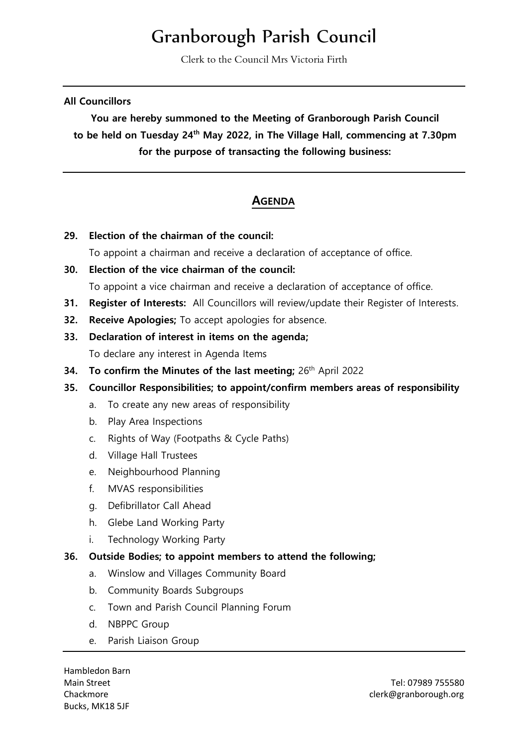# Granborough Parish Council

Clerk to the Council Mrs Victoria Firth

#### **All Councillors**

**You are hereby summoned to the Meeting of Granborough Parish Council to be held on Tuesday 24th May 2022, in The Village Hall, commencing at 7.30pm for the purpose of transacting the following business:**

# **AGENDA**

**29. Election of the chairman of the council:** 

To appoint a chairman and receive a declaration of acceptance of office.

**30. Election of the vice chairman of the council:** 

To appoint a vice chairman and receive a declaration of acceptance of office.

- **31. Register of Interests:** All Councillors will review/update their Register of Interests.
- **32. Receive Apologies;** To accept apologies for absence.
- **33. Declaration of interest in items on the agenda;** To declare any interest in Agenda Items
- **34.** To confirm the Minutes of the last meeting; 26<sup>th</sup> April 2022
- **35. Councillor Responsibilities; to appoint/confirm members areas of responsibility**
	- a. To create any new areas of responsibility
	- b. Play Area Inspections
	- c. Rights of Way (Footpaths & Cycle Paths)
	- d. Village Hall Trustees
	- e. Neighbourhood Planning
	- f. MVAS responsibilities
	- g. Defibrillator Call Ahead
	- h. Glebe Land Working Party
	- i. Technology Working Party

#### **36. Outside Bodies; to appoint members to attend the following;**

- a. Winslow and Villages Community Board
- b. Community Boards Subgroups
- c. Town and Parish Council Planning Forum
- d. NBPPC Group
- e. Parish Liaison Group

Hambledon Barn Bucks, MK18 5JF

Main Street Tel: 07989 755580 Chackmore clerk@granborough.org clerk@granborough.org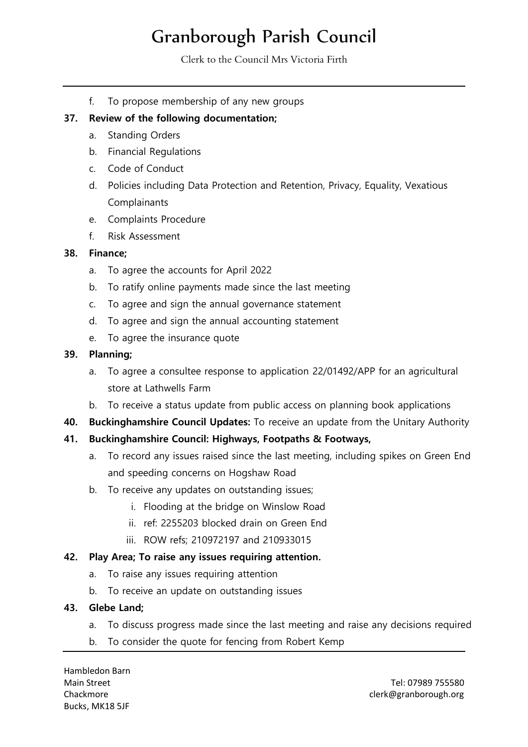# Granborough Parish Council

Clerk to the Council Mrs Victoria Firth

f. To propose membership of any new groups

### **37. Review of the following documentation;**

- a. Standing Orders
- b. Financial Regulations
- c. Code of Conduct
- d. Policies including Data Protection and Retention, Privacy, Equality, Vexatious Complainants
- e. Complaints Procedure
- f. Risk Assessment

# **38. Finance;**

- a. To agree the accounts for April 2022
- b. To ratify online payments made since the last meeting
- c. To agree and sign the annual governance statement
- d. To agree and sign the annual accounting statement
- e. To agree the insurance quote

#### **39. Planning;**

- a. To agree a consultee response to application 22/01492/APP for an agricultural store at Lathwells Farm
- b. To receive a status update from public access on planning book applications
- **40. Buckinghamshire Council Updates:** To receive an update from the Unitary Authority

# **41. Buckinghamshire Council: Highways, Footpaths & Footways,**

- a. To record any issues raised since the last meeting, including spikes on Green End and speeding concerns on Hogshaw Road
- b. To receive any updates on outstanding issues;
	- i. Flooding at the bridge on Winslow Road
	- ii. ref: 2255203 blocked drain on Green End
	- iii. ROW refs; 210972197 and 210933015

#### **42. Play Area; To raise any issues requiring attention.**

- a. To raise any issues requiring attention
- b. To receive an update on outstanding issues

#### **43. Glebe Land;**

- a. To discuss progress made since the last meeting and raise any decisions required
- b. To consider the quote for fencing from Robert Kemp